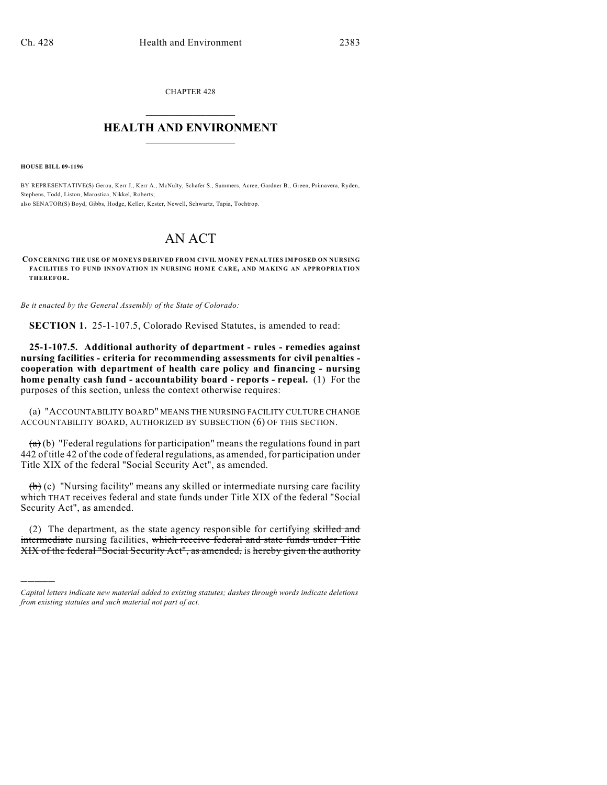CHAPTER 428  $\mathcal{L}_\text{max}$  . The set of the set of the set of the set of the set of the set of the set of the set of the set of the set of the set of the set of the set of the set of the set of the set of the set of the set of the set

## **HEALTH AND ENVIRONMENT**  $\_$

**HOUSE BILL 09-1196**

)))))

BY REPRESENTATIVE(S) Gerou, Kerr J., Kerr A., McNulty, Schafer S., Summers, Acree, Gardner B., Green, Primavera, Ryden, Stephens, Todd, Liston, Marostica, Nikkel, Roberts; also SENATOR(S) Boyd, Gibbs, Hodge, Keller, Kester, Newell, Schwartz, Tapia, Tochtrop.

## AN ACT

**CONCERNING THE USE OF MONEYS DERIVED FROM CIVIL MONEY PENALTIES IMPOSED ON NURSING FACILITIES TO FUND INNOVATION IN NURSING HOME CARE, AND MAKING AN APPROPRIATION THEREFOR.**

*Be it enacted by the General Assembly of the State of Colorado:*

**SECTION 1.** 25-1-107.5, Colorado Revised Statutes, is amended to read:

**25-1-107.5. Additional authority of department - rules - remedies against nursing facilities - criteria for recommending assessments for civil penalties cooperation with department of health care policy and financing - nursing home penalty cash fund - accountability board - reports - repeal.** (1) For the purposes of this section, unless the context otherwise requires:

(a) "ACCOUNTABILITY BOARD" MEANS THE NURSING FACILITY CULTURE CHANGE ACCOUNTABILITY BOARD, AUTHORIZED BY SUBSECTION (6) OF THIS SECTION.

 $(a)$  (b) "Federal regulations for participation" means the regulations found in part 442 of title 42 of the code of federal regulations, as amended, for participation under Title XIX of the federal "Social Security Act", as amended.

 $(b)$  (c) "Nursing facility" means any skilled or intermediate nursing care facility which THAT receives federal and state funds under Title XIX of the federal "Social" Security Act", as amended.

(2) The department, as the state agency responsible for certifying skilled and intermediate nursing facilities, which receive federal and state funds under Title XIX of the federal "Social Security Act", as amended, is hereby given the authority

*Capital letters indicate new material added to existing statutes; dashes through words indicate deletions from existing statutes and such material not part of act.*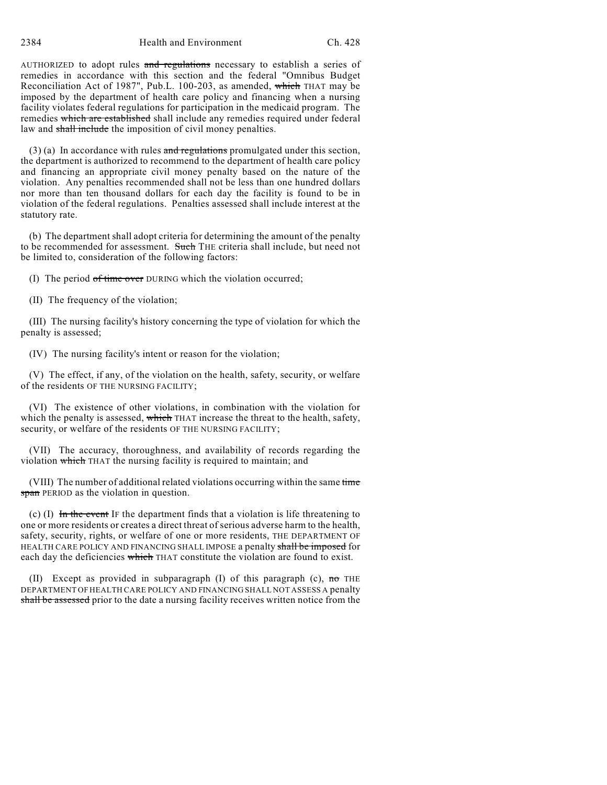2384 Health and Environment Ch. 428

AUTHORIZED to adopt rules and regulations necessary to establish a series of remedies in accordance with this section and the federal "Omnibus Budget Reconciliation Act of 1987", Pub.L. 100-203, as amended, which THAT may be imposed by the department of health care policy and financing when a nursing facility violates federal regulations for participation in the medicaid program. The remedies which are established shall include any remedies required under federal law and shall include the imposition of civil money penalties.

(3) (a) In accordance with rules and regulations promulgated under this section, the department is authorized to recommend to the department of health care policy and financing an appropriate civil money penalty based on the nature of the violation. Any penalties recommended shall not be less than one hundred dollars nor more than ten thousand dollars for each day the facility is found to be in violation of the federal regulations. Penalties assessed shall include interest at the statutory rate.

(b) The department shall adopt criteria for determining the amount of the penalty to be recommended for assessment. Such THE criteria shall include, but need not be limited to, consideration of the following factors:

(I) The period of time over DURING which the violation occurred;

(II) The frequency of the violation;

(III) The nursing facility's history concerning the type of violation for which the penalty is assessed;

(IV) The nursing facility's intent or reason for the violation;

(V) The effect, if any, of the violation on the health, safety, security, or welfare of the residents OF THE NURSING FACILITY;

(VI) The existence of other violations, in combination with the violation for which the penalty is assessed, which THAT increase the threat to the health, safety, security, or welfare of the residents OF THE NURSING FACILITY;

(VII) The accuracy, thoroughness, and availability of records regarding the violation which THAT the nursing facility is required to maintain; and

(VIII) The number of additional related violations occurring within the same time span PERIOD as the violation in question.

(c) (I) In the event IF the department finds that a violation is life threatening to one or more residents or creates a direct threat of serious adverse harm to the health, safety, security, rights, or welfare of one or more residents, THE DEPARTMENT OF HEALTH CARE POLICY AND FINANCING SHALL IMPOSE a penalty shall be imposed for each day the deficiencies which THAT constitute the violation are found to exist.

(II) Except as provided in subparagraph (I) of this paragraph (c),  $\theta$  THE DEPARTMENT OF HEALTH CARE POLICY AND FINANCING SHALL NOT ASSESS A penalty shall be assessed prior to the date a nursing facility receives written notice from the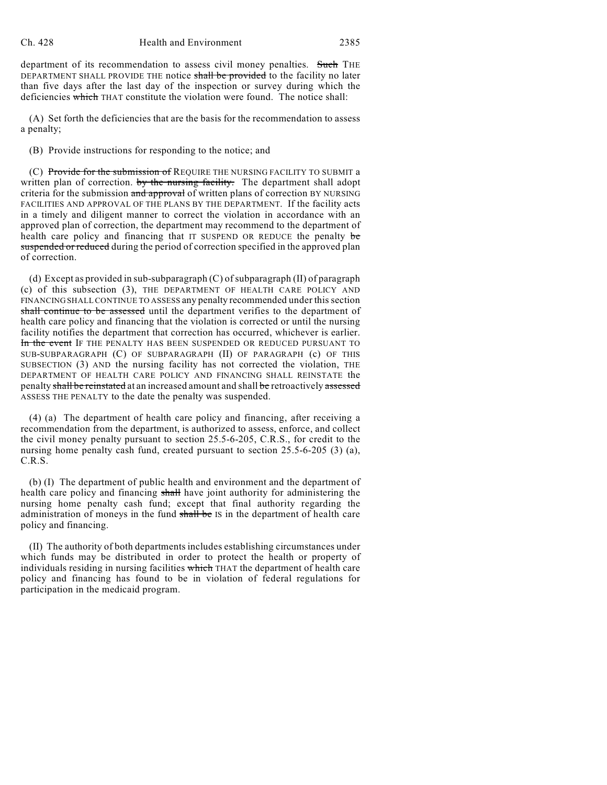department of its recommendation to assess civil money penalties. Such THE DEPARTMENT SHALL PROVIDE THE notice shall be provided to the facility no later than five days after the last day of the inspection or survey during which the deficiencies which THAT constitute the violation were found. The notice shall:

(A) Set forth the deficiencies that are the basis for the recommendation to assess a penalty;

(B) Provide instructions for responding to the notice; and

(C) Provide for the submission of REQUIRE THE NURSING FACILITY TO SUBMIT a written plan of correction. by the nursing facility. The department shall adopt criteria for the submission and approval of written plans of correction BY NURSING FACILITIES AND APPROVAL OF THE PLANS BY THE DEPARTMENT. If the facility acts in a timely and diligent manner to correct the violation in accordance with an approved plan of correction, the department may recommend to the department of health care policy and financing that IT SUSPEND OR REDUCE the penalty be suspended or reduced during the period of correction specified in the approved plan of correction.

(d) Except as provided in sub-subparagraph (C) of subparagraph (II) of paragraph (c) of this subsection (3), THE DEPARTMENT OF HEALTH CARE POLICY AND FINANCING SHALL CONTINUE TO ASSESS any penalty recommended under this section shall continue to be assessed until the department verifies to the department of health care policy and financing that the violation is corrected or until the nursing facility notifies the department that correction has occurred, whichever is earlier. In the event IF THE PENALTY HAS BEEN SUSPENDED OR REDUCED PURSUANT TO SUB-SUBPARAGRAPH (C) OF SUBPARAGRAPH (II) OF PARAGRAPH (c) OF THIS SUBSECTION (3) AND the nursing facility has not corrected the violation, THE DEPARTMENT OF HEALTH CARE POLICY AND FINANCING SHALL REINSTATE the penalty shall be reinstated at an increased amount and shall be retroactively assessed ASSESS THE PENALTY to the date the penalty was suspended.

(4) (a) The department of health care policy and financing, after receiving a recommendation from the department, is authorized to assess, enforce, and collect the civil money penalty pursuant to section 25.5-6-205, C.R.S., for credit to the nursing home penalty cash fund, created pursuant to section 25.5-6-205 (3) (a), C.R.S.

(b) (I) The department of public health and environment and the department of health care policy and financing shall have joint authority for administering the nursing home penalty cash fund; except that final authority regarding the administration of moneys in the fund shall be IS in the department of health care policy and financing.

(II) The authority of both departments includes establishing circumstances under which funds may be distributed in order to protect the health or property of individuals residing in nursing facilities which THAT the department of health care policy and financing has found to be in violation of federal regulations for participation in the medicaid program.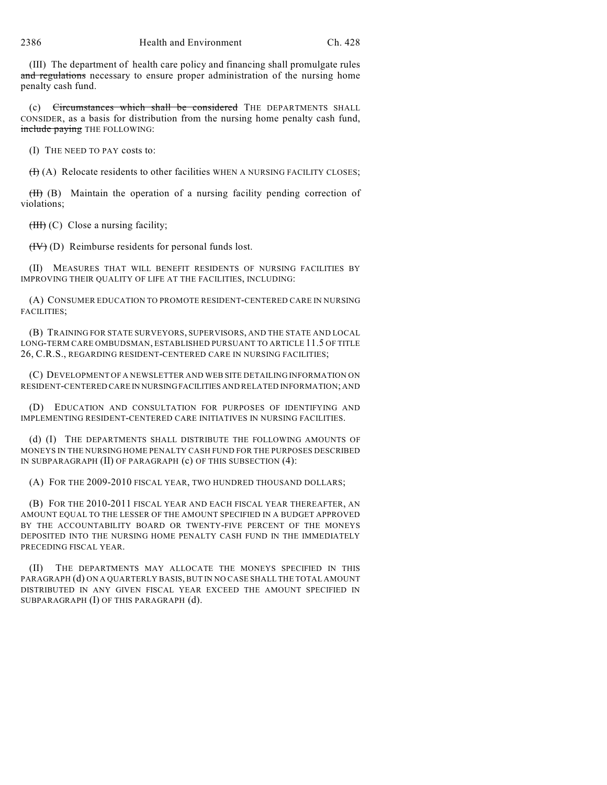(III) The department of health care policy and financing shall promulgate rules and regulations necessary to ensure proper administration of the nursing home penalty cash fund.

(c) Circumstances which shall be considered THE DEPARTMENTS SHALL CONSIDER, as a basis for distribution from the nursing home penalty cash fund, include paying THE FOLLOWING:

(I) THE NEED TO PAY costs to:

 $(H)$  (A) Relocate residents to other facilities WHEN A NURSING FACILITY CLOSES;

 $(H)$  (B) Maintain the operation of a nursing facility pending correction of violations;

 $(HH)$  (C) Close a nursing facility;

 $(HV)$  (D) Reimburse residents for personal funds lost.

(II) MEASURES THAT WILL BENEFIT RESIDENTS OF NURSING FACILITIES BY IMPROVING THEIR QUALITY OF LIFE AT THE FACILITIES, INCLUDING:

(A) CONSUMER EDUCATION TO PROMOTE RESIDENT-CENTERED CARE IN NURSING FACILITIES;

(B) TRAINING FOR STATE SURVEYORS, SUPERVISORS, AND THE STATE AND LOCAL LONG-TERM CARE OMBUDSMAN, ESTABLISHED PURSUANT TO ARTICLE 11.5 OF TITLE 26, C.R.S., REGARDING RESIDENT-CENTERED CARE IN NURSING FACILITIES;

(C) DEVELOPMENT OF A NEWSLETTER AND WEB SITE DETAILING INFORMATION ON RESIDENT-CENTERED CARE IN NURSING FACILITIES AND RELATED INFORMATION; AND

(D) EDUCATION AND CONSULTATION FOR PURPOSES OF IDENTIFYING AND IMPLEMENTING RESIDENT-CENTERED CARE INITIATIVES IN NURSING FACILITIES.

(d) (I) THE DEPARTMENTS SHALL DISTRIBUTE THE FOLLOWING AMOUNTS OF MONEYS IN THE NURSING HOME PENALTY CASH FUND FOR THE PURPOSES DESCRIBED IN SUBPARAGRAPH (II) OF PARAGRAPH (c) OF THIS SUBSECTION (4):

(A) FOR THE 2009-2010 FISCAL YEAR, TWO HUNDRED THOUSAND DOLLARS;

(B) FOR THE 2010-2011 FISCAL YEAR AND EACH FISCAL YEAR THEREAFTER, AN AMOUNT EQUAL TO THE LESSER OF THE AMOUNT SPECIFIED IN A BUDGET APPROVED BY THE ACCOUNTABILITY BOARD OR TWENTY-FIVE PERCENT OF THE MONEYS DEPOSITED INTO THE NURSING HOME PENALTY CASH FUND IN THE IMMEDIATELY PRECEDING FISCAL YEAR.

(II) THE DEPARTMENTS MAY ALLOCATE THE MONEYS SPECIFIED IN THIS PARAGRAPH (d) ON A QUARTERLY BASIS, BUT IN NO CASE SHALL THE TOTAL AMOUNT DISTRIBUTED IN ANY GIVEN FISCAL YEAR EXCEED THE AMOUNT SPECIFIED IN SUBPARAGRAPH (I) OF THIS PARAGRAPH (d).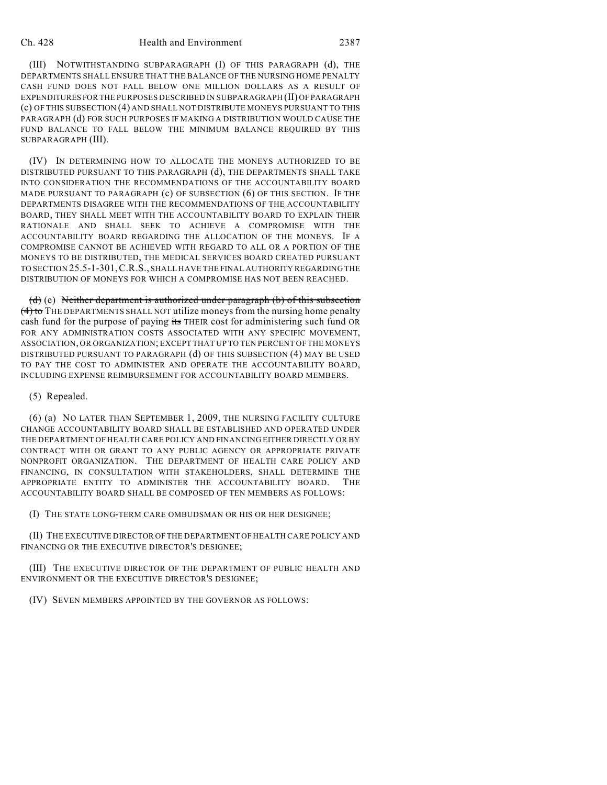## Ch. 428 Health and Environment 2387

(III) NOTWITHSTANDING SUBPARAGRAPH (I) OF THIS PARAGRAPH (d), THE DEPARTMENTS SHALL ENSURE THAT THE BALANCE OF THE NURSING HOME PENALTY CASH FUND DOES NOT FALL BELOW ONE MILLION DOLLARS AS A RESULT OF EXPENDITURES FOR THE PURPOSES DESCRIBED IN SUBPARAGRAPH (II) OF PARAGRAPH (c) OF THIS SUBSECTION (4) AND SHALL NOT DISTRIBUTE MONEYS PURSUANT TO THIS PARAGRAPH (d) FOR SUCH PURPOSES IF MAKING A DISTRIBUTION WOULD CAUSE THE FUND BALANCE TO FALL BELOW THE MINIMUM BALANCE REQUIRED BY THIS SUBPARAGRAPH (III).

(IV) IN DETERMINING HOW TO ALLOCATE THE MONEYS AUTHORIZED TO BE DISTRIBUTED PURSUANT TO THIS PARAGRAPH (d), THE DEPARTMENTS SHALL TAKE INTO CONSIDERATION THE RECOMMENDATIONS OF THE ACCOUNTABILITY BOARD MADE PURSUANT TO PARAGRAPH (c) OF SUBSECTION (6) OF THIS SECTION. IF THE DEPARTMENTS DISAGREE WITH THE RECOMMENDATIONS OF THE ACCOUNTABILITY BOARD, THEY SHALL MEET WITH THE ACCOUNTABILITY BOARD TO EXPLAIN THEIR RATIONALE AND SHALL SEEK TO ACHIEVE A COMPROMISE WITH THE ACCOUNTABILITY BOARD REGARDING THE ALLOCATION OF THE MONEYS. IF A COMPROMISE CANNOT BE ACHIEVED WITH REGARD TO ALL OR A PORTION OF THE MONEYS TO BE DISTRIBUTED, THE MEDICAL SERVICES BOARD CREATED PURSUANT TO SECTION 25.5-1-301,C.R.S., SHALL HAVE THE FINAL AUTHORITY REGARDING THE DISTRIBUTION OF MONEYS FOR WHICH A COMPROMISE HAS NOT BEEN REACHED.

(d) (e) Neither department is authorized under paragraph (b) of this subsection  $(4)$  to THE DEPARTMENTS SHALL NOT utilize moneys from the nursing home penalty cash fund for the purpose of paying its THEIR cost for administering such fund OR FOR ANY ADMINISTRATION COSTS ASSOCIATED WITH ANY SPECIFIC MOVEMENT, ASSOCIATION, OR ORGANIZATION; EXCEPT THAT UP TO TEN PERCENT OF THE MONEYS DISTRIBUTED PURSUANT TO PARAGRAPH (d) OF THIS SUBSECTION (4) MAY BE USED TO PAY THE COST TO ADMINISTER AND OPERATE THE ACCOUNTABILITY BOARD, INCLUDING EXPENSE REIMBURSEMENT FOR ACCOUNTABILITY BOARD MEMBERS.

## (5) Repealed.

(6) (a) NO LATER THAN SEPTEMBER 1, 2009, THE NURSING FACILITY CULTURE CHANGE ACCOUNTABILITY BOARD SHALL BE ESTABLISHED AND OPERATED UNDER THE DEPARTMENT OF HEALTH CARE POLICY AND FINANCING EITHER DIRECTLY OR BY CONTRACT WITH OR GRANT TO ANY PUBLIC AGENCY OR APPROPRIATE PRIVATE NONPROFIT ORGANIZATION. THE DEPARTMENT OF HEALTH CARE POLICY AND FINANCING, IN CONSULTATION WITH STAKEHOLDERS, SHALL DETERMINE THE APPROPRIATE ENTITY TO ADMINISTER THE ACCOUNTABILITY BOARD. THE ACCOUNTABILITY BOARD SHALL BE COMPOSED OF TEN MEMBERS AS FOLLOWS:

(I) THE STATE LONG-TERM CARE OMBUDSMAN OR HIS OR HER DESIGNEE;

(II) THE EXECUTIVE DIRECTOR OF THE DEPARTMENT OF HEALTH CARE POLICY AND FINANCING OR THE EXECUTIVE DIRECTOR'S DESIGNEE;

(III) THE EXECUTIVE DIRECTOR OF THE DEPARTMENT OF PUBLIC HEALTH AND ENVIRONMENT OR THE EXECUTIVE DIRECTOR'S DESIGNEE;

(IV) SEVEN MEMBERS APPOINTED BY THE GOVERNOR AS FOLLOWS: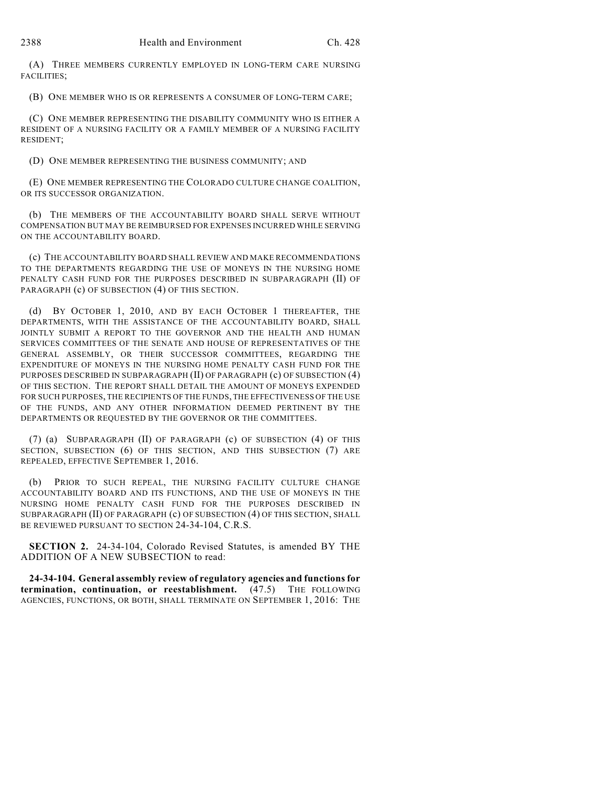(A) THREE MEMBERS CURRENTLY EMPLOYED IN LONG-TERM CARE NURSING FACILITIES;

(B) ONE MEMBER WHO IS OR REPRESENTS A CONSUMER OF LONG-TERM CARE;

(C) ONE MEMBER REPRESENTING THE DISABILITY COMMUNITY WHO IS EITHER A RESIDENT OF A NURSING FACILITY OR A FAMILY MEMBER OF A NURSING FACILITY RESIDENT;

(D) ONE MEMBER REPRESENTING THE BUSINESS COMMUNITY; AND

(E) ONE MEMBER REPRESENTING THE COLORADO CULTURE CHANGE COALITION, OR ITS SUCCESSOR ORGANIZATION.

(b) THE MEMBERS OF THE ACCOUNTABILITY BOARD SHALL SERVE WITHOUT COMPENSATION BUT MAY BE REIMBURSED FOR EXPENSES INCURRED WHILE SERVING ON THE ACCOUNTABILITY BOARD.

(c) THE ACCOUNTABILITY BOARD SHALL REVIEW AND MAKE RECOMMENDATIONS TO THE DEPARTMENTS REGARDING THE USE OF MONEYS IN THE NURSING HOME PENALTY CASH FUND FOR THE PURPOSES DESCRIBED IN SUBPARAGRAPH (II) OF PARAGRAPH (c) OF SUBSECTION (4) OF THIS SECTION.

(d) BY OCTOBER 1, 2010, AND BY EACH OCTOBER 1 THEREAFTER, THE DEPARTMENTS, WITH THE ASSISTANCE OF THE ACCOUNTABILITY BOARD, SHALL JOINTLY SUBMIT A REPORT TO THE GOVERNOR AND THE HEALTH AND HUMAN SERVICES COMMITTEES OF THE SENATE AND HOUSE OF REPRESENTATIVES OF THE GENERAL ASSEMBLY, OR THEIR SUCCESSOR COMMITTEES, REGARDING THE EXPENDITURE OF MONEYS IN THE NURSING HOME PENALTY CASH FUND FOR THE PURPOSES DESCRIBED IN SUBPARAGRAPH (II) OF PARAGRAPH (c) OF SUBSECTION (4) OF THIS SECTION. THE REPORT SHALL DETAIL THE AMOUNT OF MONEYS EXPENDED FOR SUCH PURPOSES, THE RECIPIENTS OF THE FUNDS, THE EFFECTIVENESS OF THE USE OF THE FUNDS, AND ANY OTHER INFORMATION DEEMED PERTINENT BY THE DEPARTMENTS OR REQUESTED BY THE GOVERNOR OR THE COMMITTEES.

(7) (a) SUBPARAGRAPH (II) OF PARAGRAPH (c) OF SUBSECTION (4) OF THIS SECTION, SUBSECTION (6) OF THIS SECTION, AND THIS SUBSECTION (7) ARE REPEALED, EFFECTIVE SEPTEMBER 1, 2016.

(b) PRIOR TO SUCH REPEAL, THE NURSING FACILITY CULTURE CHANGE ACCOUNTABILITY BOARD AND ITS FUNCTIONS, AND THE USE OF MONEYS IN THE NURSING HOME PENALTY CASH FUND FOR THE PURPOSES DESCRIBED IN SUBPARAGRAPH (II) OF PARAGRAPH (c) OF SUBSECTION (4) OF THIS SECTION, SHALL BE REVIEWED PURSUANT TO SECTION 24-34-104, C.R.S.

**SECTION 2.** 24-34-104, Colorado Revised Statutes, is amended BY THE ADDITION OF A NEW SUBSECTION to read:

**24-34-104. General assembly review of regulatory agencies and functions for termination, continuation, or reestablishment.** (47.5) THE FOLLOWING AGENCIES, FUNCTIONS, OR BOTH, SHALL TERMINATE ON SEPTEMBER 1, 2016: THE